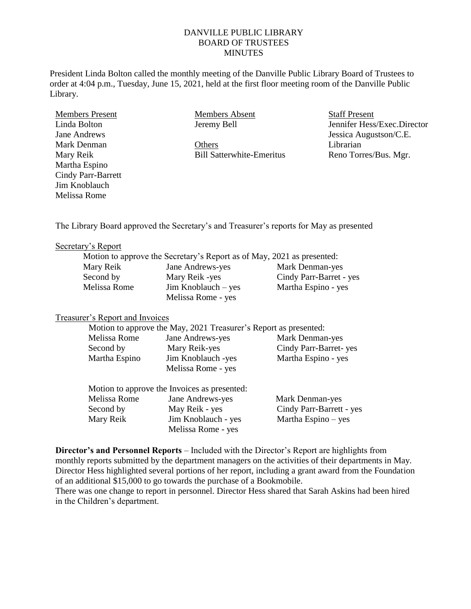### DANVILLE PUBLIC LIBRARY BOARD OF TRUSTEES **MINUTES**

President Linda Bolton called the monthly meeting of the Danville Public Library Board of Trustees to order at 4:04 p.m., Tuesday, June 15, 2021, held at the first floor meeting room of the Danville Public Library.

Members Present Linda Bolton Jane Andrews Mark Denman Mary Reik Martha Espino Cindy Parr-Barrett Jim Knoblauch Melissa Rome

Members Absent Jeremy Bell

**Others** Bill Satterwhite-Emeritus Staff Present Jennifer Hess/Exec.Director Jessica Augustson/C.E. Librarian Reno Torres/Bus. Mgr.

The Library Board approved the Secretary's and Treasurer's reports for May as presented

#### Secretary's Report

|              | Motion to approve the Secretary's Report as of May, 2021 as presented: |                         |
|--------------|------------------------------------------------------------------------|-------------------------|
| Mary Reik    | Jane Andrews-yes                                                       | Mark Denman-yes         |
| Second by    | Mary Reik -yes                                                         | Cindy Parr-Barret - yes |
| Melissa Rome | $Jim$ Knoblauch – yes                                                  | Martha Espino - yes     |
|              | Melissa Rome - yes                                                     |                         |

#### Treasurer's Report and Invoices

|               | Motion to approve the May, 2021 Treasurer's Report as presented: |                          |
|---------------|------------------------------------------------------------------|--------------------------|
| Melissa Rome  | Jane Andrews-yes                                                 | Mark Denman-yes          |
| Second by     | Mary Reik-yes                                                    | Cindy Parr-Barret-yes    |
| Martha Espino | Jim Knoblauch -yes                                               | Martha Espino - yes      |
|               | Melissa Rome - yes                                               |                          |
|               | Motion to approve the Invoices as presented:                     |                          |
| Melissa Rome  | Jane Andrews-yes                                                 | Mark Denman-yes          |
| Second by     | May Reik - yes                                                   | Cindy Parr-Barrett - yes |
| Mary Reik     | Jim Knoblauch - yes                                              | Martha Espino - yes      |
|               | Melissa Rome - yes                                               |                          |

**Director's and Personnel Reports** – Included with the Director's Report are highlights from monthly reports submitted by the department managers on the activities of their departments in May. Director Hess highlighted several portions of her report, including a grant award from the Foundation of an additional \$15,000 to go towards the purchase of a Bookmobile.

There was one change to report in personnel. Director Hess shared that Sarah Askins had been hired in the Children's department.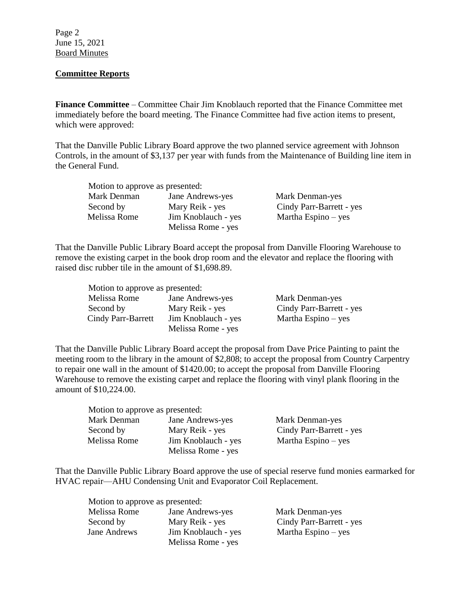Page 2 June 15, 2021 Board Minutes

# **Committee Reports**

**Finance Committee** – Committee Chair Jim Knoblauch reported that the Finance Committee met immediately before the board meeting. The Finance Committee had five action items to present, which were approved:

That the Danville Public Library Board approve the two planned service agreement with Johnson Controls, in the amount of \$3,137 per year with funds from the Maintenance of Building line item in the General Fund.

| Motion to approve as presented: |                     |                          |
|---------------------------------|---------------------|--------------------------|
| Mark Denman                     | Jane Andrews-yes    | Mark Denman-yes          |
| Second by                       | Mary Reik - yes     | Cindy Parr-Barrett - yes |
| Melissa Rome                    | Jim Knoblauch - yes | Martha Espino $-$ yes    |
|                                 | Melissa Rome - yes  |                          |

That the Danville Public Library Board accept the proposal from Danville Flooring Warehouse to remove the existing carpet in the book drop room and the elevator and replace the flooring with raised disc rubber tile in the amount of \$1,698.89.

| Motion to approve as presented: |                     |                          |
|---------------------------------|---------------------|--------------------------|
| Melissa Rome                    | Jane Andrews-yes    | Mark Denman-yes          |
| Second by                       | Mary Reik - yes     | Cindy Parr-Barrett - yes |
| Cindy Parr-Barrett              | Jim Knoblauch - yes | Martha Espino $-$ yes    |
|                                 | Melissa Rome - yes  |                          |

That the Danville Public Library Board accept the proposal from Dave Price Painting to paint the meeting room to the library in the amount of \$2,808; to accept the proposal from Country Carpentry to repair one wall in the amount of \$1420.00; to accept the proposal from Danville Flooring Warehouse to remove the existing carpet and replace the flooring with vinyl plank flooring in the amount of \$10,224.00.

| Motion to approve as presented: |                     |                          |
|---------------------------------|---------------------|--------------------------|
| Mark Denman                     | Jane Andrews-yes    | Mark Denman-yes          |
| Second by                       | Mary Reik - yes     | Cindy Parr-Barrett - yes |
| Melissa Rome                    | Jim Knoblauch - yes | Martha Espino $-$ yes    |
|                                 | Melissa Rome - yes  |                          |

That the Danville Public Library Board approve the use of special reserve fund monies earmarked for HVAC repair—AHU Condensing Unit and Evaporator Coil Replacement.

| Motion to approve as presented: |                     |                          |
|---------------------------------|---------------------|--------------------------|
| Melissa Rome                    | Jane Andrews-yes    | Mark Denman-yes          |
| Second by                       | Mary Reik - yes     | Cindy Parr-Barrett - yes |
| Jane Andrews                    | Jim Knoblauch - yes | Martha Espino $-$ yes    |
|                                 | Melissa Rome - yes  |                          |